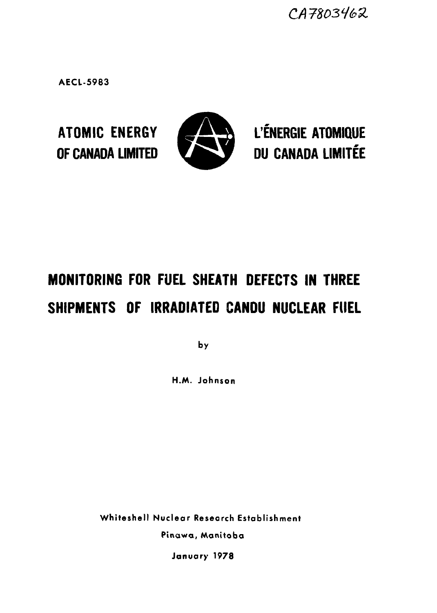CA7803462

**AECL-5983**



ATOMIC ENERGY **MEALER L'ÉNERGIE ATOMIQUE** OF CANADA LIMITED **CANADA LIMITÉE** 

# MONITORING FOR FUEL SHEATH DEFECTS IN THREE SHIPMENTS OF IRRADIATED CANDU NUCLEAR FUEL

**by**

**H.AA. Johnson**

**Whiteshell Nuclear Research Establishment Pinawa, Manitoba**

**January 1978**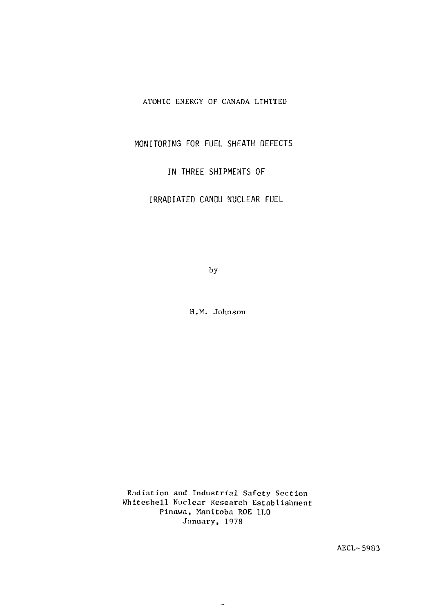#### ATOMIC ENERGY OF CANADA LIMITED

MONITORING FOR FUEL SHEATH DEFECTS

IN THREE SHIPMENTS OF

IRRADIATED CANDU NUCLEAR FUEL

by

H.M. Johnson

Radiation and Industrial Safety Section Whiteshell Nuclear Research Establishment Pinawa, Manitoba ROE 1L0 January, 1978

AECL-59S3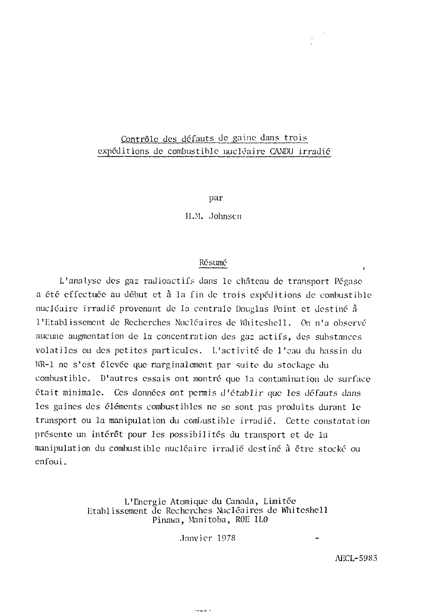# Contrôle des défauts de gaine dans trois expéditions de combustible nucléaire CANDU irradié

par

II.M. Johnsen

#### Résumé

L'analyse des gaz radioactifs dans le château de transport Pégase a été effectuée au début et à la fin de trois expéditions de combustible nucléaire irradié provenant de la centrale Douglas Point et destiné à l'Etablissement de Recherches Nucléaires de lïhitcshell. On n'a observé aucune augmentation de la concentration des gaz actifs, des substances volatiles ou des petites particules. L'activité de l'eau du bassin du WR-1 ne s'est élevée que marginalement par suite du stockage du combustible. D'autres essais ont montré que la contamination de surface était minimale. Ces données ont permis d'établir que les défauts dans les gaines des éléments combustibles ne se sont pas produits durant le transport ou la manipulation du combustible irradié. Cette constatation présente un intérêt pour les possibilités du transport et de la manipulation du combustible nucléaire irradié destiné à être stocké ou enfou i.

#### L'Energie Atomique du Canada, Limitée Etablissement de Recherches Nucléaires de Whitcshell Pinawa, Manitoba, ROE 1L0

Janvier 1978

د پوځينه

AECL-5983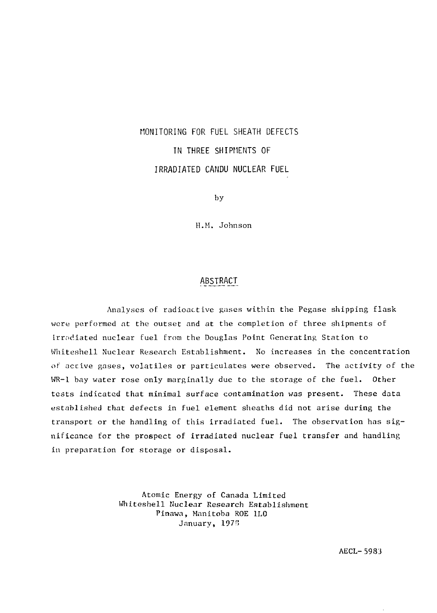# MONITORING FOR FUEL SHEATH DEFECTS IN THREE SHIPMENTS OF IRRADIATED CANDU NUCLEAR FUEL

by

H.M. Johnson

#### ABSTRACT

Analyses of radioactive gases within the Pegase shipping flask were performed at the outset and at the completion of three shipments of irradiated nuclear fuel from the Douglas Point Generating Station to Whiteshell Nuclear Research Establishment. No increases in the concentration of active gases, volatiles or particulates were observed. The activity of the WR-1 bay water rose only marginally due to the storage of the fuel. Other tests indicated that minimal surface contamination was present. These data established that defects in fuel element sheaths did not arise during the transport or the handling of this irradiated fuel. The observation has significance for the prospect of irradiated nuclear fuel transfer and handling in preparation for storage or disposal.

> Atomic Energy of Canada Limited Whiteshell Nuclear Research Establishment Pinawa, Manitoba ROE 1L0 January, 1976

> > AECL-5983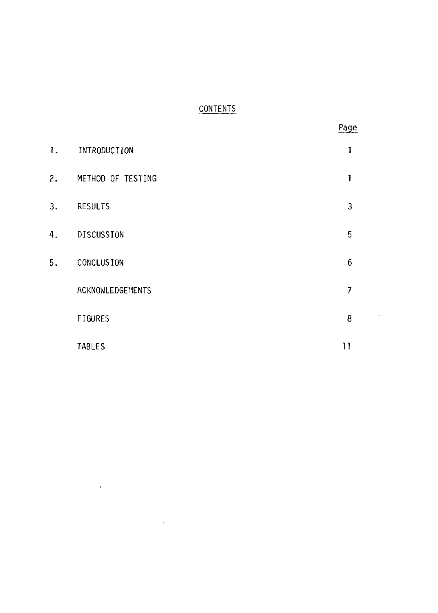# **CONTENTS**

|    |                   | Page                    |
|----|-------------------|-------------------------|
| 1. | INTRODUCTION      | 1                       |
| 2. | METHOD OF TESTING | 1                       |
| 3. | <b>RESULTS</b>    | $\overline{\mathbf{3}}$ |
| 4. | DISCUSSION        | 5                       |
| 5. | <b>CONCLUSION</b> | $\boldsymbol{6}$        |
|    | ACKNOWLEDGEMENTS  | $\overline{7}$          |
|    | FIGURES           | 8<br>$\cdot$            |
|    | TABLES            | 11                      |

 $\mathcal{L}^{\text{max}}_{\text{max}}$  and  $\mathcal{L}^{\text{max}}_{\text{max}}$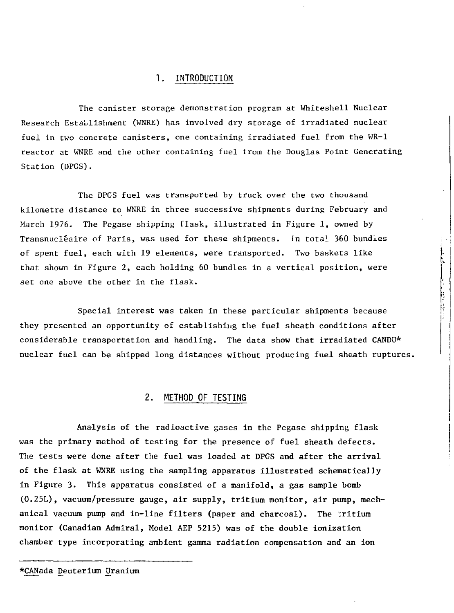#### 1. INTRODUCTION

The canister storage demonstration program at Whiteshell Nuclear Research Establishment (WNRE) has involved dry storage of irradiated nuclear fuel in two concrete canisters, one containing irradiated fuel from the WR-1 reactor at WNRE and the other containing fuel from the Douglas Point Generating Station (DPGS).

The DPGS fuel was transported by truck over the two thousand kilometre distance to WNRE in three successive shipments during February and March 1976. The Pegase shipping flask, illustrated in Figure 1, owned by Transnucléaire of Paris, was used for these shipments. In total 360 bundles of spent fuel, each with 19 elements, were transported. Two baskets like that shown in Figure 2, each holding 60 bundles in a vertical position, were set one above the other in the flask.

Special interest was taken in these particular shipments because they presented an opportunity of establishing the fuel sheath conditions after considerable transportation and handling. The data show that irradiated CANDU\* nuclear fuel can be shipped long distances without producing fuel sheath ruptures.

#### 2. METHOD OF TESTING

Analysis of the radioactive gases in the Pegase shipping flask was the primary method of testing for the presence of fuel sheath defects. The tests were done after the fuel was loaded at DPGS and after the arrival of the flask at WNRE using the sampling apparatus illustrated schematically in Figure 3. This apparatus consisted of a manifold, a gas sample bomb (0.25L), vacuum/pressure gauge, air supply, tritium monitor, air pump, mechanical vacuum pump and in-line filters (paper and charcoal). The ;ritium monitor (Canadian Admiral, Model AEP 5215) was of the double ionization chamber type incorporating ambient gamma radiation compensation and an ion

<sup>\*</sup>CANada Deuterium Uranium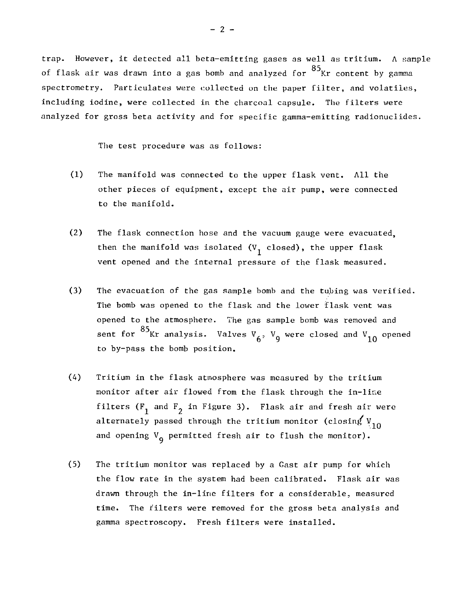trap. However, it detected all beta-emitting gases as well as tritium. A sample  $\Omega$  C of flask air was drawn into a gas bomb and analyzed for Kr content by gamma spectrometry. Particulates were collected on the paper filter, and volatiles, including iodine, were collected in the charcoal capsule. The filters were analyzed for gross beta activity and for specific gamma-emitting radionuclides.

The test procedure was as follows:

- (1) The manifold was connected to the upper flask vent. All the other pieces of equipment, except the air pump, were connected to the manifold.
- (2) The flask connection hose and the vacuum gauge were evacuated, then the manifold was isolated ( $V_1$  closed), the upper flask vent opened and the internal pressure of the flask measured.
- (3) The evacuation of the gas sample bomb and the tubing was verified. The bomb was opened to the flask and the lower flask vent was opened to the atmosphere. The gas sample bomb was removed and sent for  $^{85}$ Kr analysis. Valves V<sub>4</sub>, V<sub>o</sub> were closed and V<sub>10</sub> opened to by-pass the bomb position.
- (4) Tritium in the flask atmosphere was measured by the tritium monitor after air flowed from the flask through the in-line filters ( $F_1$  and  $F_2$  in Figure 3). Flask air and fresh air were alternately passed through the tritium monitor (closing  $V_{10}$ and opening  $V_{\mathbf{q}}$  permitted fresh air to flush the monitor).
- (5) The tritium monitor was replaced by a Gast air pump for which the flow rate in the system had been calibrated. Flask air was drawn through the in-line filters for a considerable, measured time. The filters were removed for the gross beta analysis and gamma spectroscopy. Fresh filters were installed.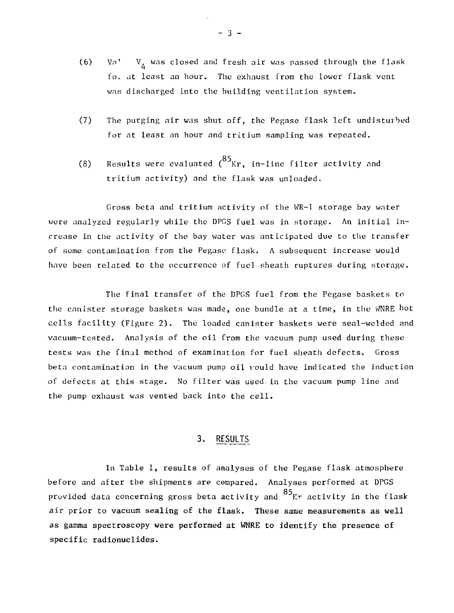- (6) Va<sup>1</sup> V<sub>L</sub> was closed and fresh air was passed through the flask fo. at least an hour. The exhaust from the lower flask vent was discharged into the building ventilation system.
- (7) The purging air was shut off, the Peg;ase flask left undisturbed for at least an hour and tritium sampling was repeated.
- Results were evaluated  $\binom{85}{Kr}$ , in-line filter activity and  $(8)$  Results were evaluated (  $\ldots$  ) in-line filter activity and tritium activity) and the flask was unloaded.

Cross beta and tritium activity of the WR-1 storage bay water were analyzed regularly while the DPGS fuel was in storage. An initial increase in the activity of the bay water was anticipated due to the transfer of some contamination from the Pégase flask. A subsequent increase would have been related to the occurrence of fuel sheath ruptures during storage.

The final transfer of the DPGS fuel from the Pegase baskets to the canister storage baskets was made, one bundle at a time, in the WNRE hot cells facility (Figure 2). The loaded canister baskets were seal-welded and vacuum-tested. Analysis of the oil from the vacuum pump used during these tests was the final method of examination for fuel sheath defects. Gross beta contamination in the vacuum pump oil vould have indicated the induction of defects at this stage. No filter was used-in the vacuum pump line and the pump exhaust was vented back into the cell.

#### 3. RESULTS

In Table 1, results of analyses of the Pegase flask atmosphere before and after the shipments are compared. Analyses performed at DPGS provided data concerning gross beta activity and  $85$ <sub>Kr</sub> activity in the flask air prior to vacuum sealing of the flask. These same measurements as well as gamma spectroscopy were performed at WNRE to identify the presence of specific radionuclides.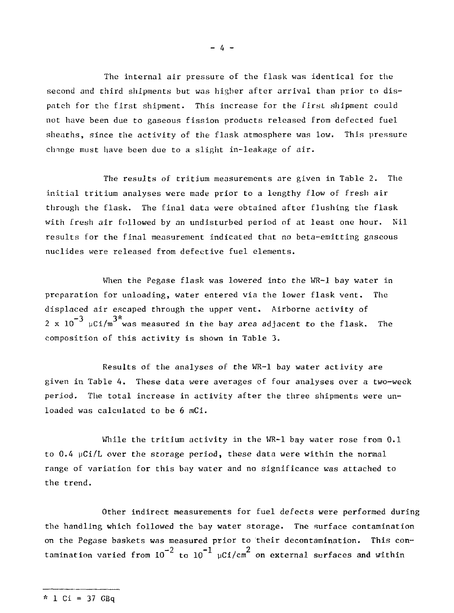The internal air pressure of the flask was identical for the second and third shipments but was higher after arrival than prior to dispatch for the first shipment. This increase for the first shipment could not have been due to gaseous fission products released from defected fuel sheaths, since the activity of the flask atmosphere was low. This pressure change must have been due to a slight in-leakage of air.

The results of tritium measurements are given in Table 2. The initial tritium analyses were made prior to a lengthy flow of fresh air through the flask. The final data were obtained after flushing the flask with fresh air followed by an undisturbed period of at least one hour. Nil results for the final measurement indicated that no beta-emitting gaseous nuclides were released from defective fuel elements.

When the Pegase flask was lowered into the WR-1 bay water in preparation for unloading, water entered via the lower flask vent. The displaced air escaped through the upper vent. Airborne activity of  $2\,$  x  $10^{-3}$   $\mu$ Ci/m $^{3^{\star}}$ was measured in the bay area adjacent to the flask. The composition of this activity is shown in Table 3.

Results of the analyses of the WR-1 bay water activity are given in Table 4. These data were averages of four analyses over a two-week period. The total increase in activity after the three shipments were unloaded was calculated to be 6 mCi.

While the tritium activity in the WR-1 bay water rose from 0.1 to 0.4 uCi/L over the storage period, these data were within the normal range of variation for this bay water and no significance was attached to the trend.

Other indirect measurements for fuel defects were performed during the handling which followed the bay water storage. The surface contamination on the Pegase baskets was measured prior to their decontamination. This contamination varied from  $10^{-2}$  to  $10^{-1}$   $\mu$ Ci/cm<sup>2</sup> on external surfaces and within

 $- 4 -$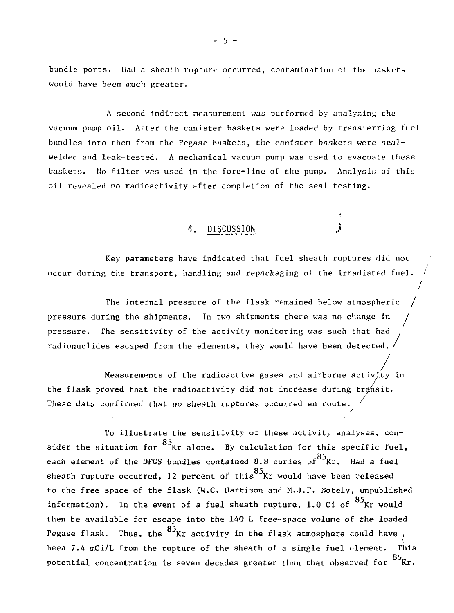bundle ports. Had a sheath rupture occurred, contamination of the baskets would have been much greater.

A second indirect measurement was performed by analyzing the vacuum pump oil. After the canister baskets were loaded by transferring fuel bundles into them from the Pégase baskets, the canister baskets were sealwelded and leak-tested. A mechanical vacuum pump was used to evacuate these baskets. No filter was used in the fore-line of the pump. Analysis of this oil revealed no radioactivity after completion of the seal-testing.

DISCUSSION

Key parameters have indicated that fuel sheath ruptures did not occur during the transport, handling and repackaging of the irradiated fuel.

The internal pressure of the flask remained below atmospheric pressure during the shipments. In two shipments there was no change in / pressure. The sensitivity of the activity monitoring was such that had radionuclides escaped from the elements, they would have been detected. /

/ Measurements of the radioactive gases and airborne activity in the flask proved that the radioactivity did not increase during transit. / These data confirmed that no sheath ruptures occurred en route. y

To illustrate the sensitivity of these activity analyses, consider the situation for  $^{85}$ Kr alone. By calculation for this specific fuel, each element of the DPGS bundles contained 8.8 curies of  $^{85}$ Kr. Had a fuel sheath rupture occurred, 12 percent of this <sup>85</sup> Kr would have been released to the free space of the flask (W.C. Harrison and M.J.F. Notely, unpublished information). In the event of a fuel sheath rupture, 1.0 Ci of  $^{85}$ Kr would then be available for escape into the 140 L free-space volume of the loaded Pegase flask. Thus, the  $^{85}$ Kr activity in the flask atmosphere could have  $\frac{1}{2}$ been 7.4 mCi/L from the rupture of the sheath of a single fuel clement. This potential concentration is seven decades greater than that observed for  $\mathrm{^{o_{3}Kr}.}$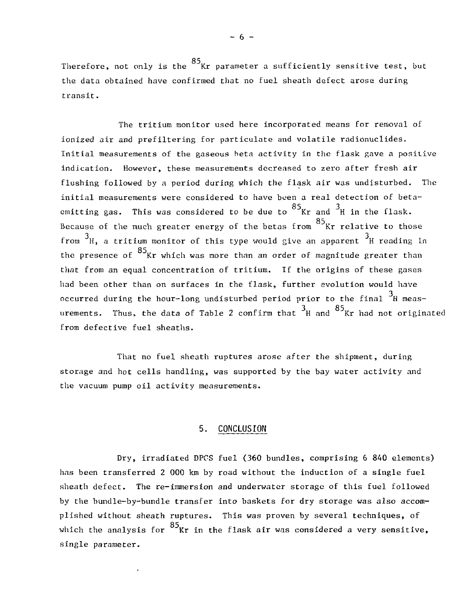Therefore, not only is the  $85$  Kr parameter a sufficiently sensitive test, but  $T_{\text{max}}$  not only is the Kr parameter a sufficiently sensitive test, but  $t$  data obtained have confirmed that no fuel sheath defect arose during  $\frac{1}{2}$ transit.

The tritium monitor used here incorporated means for removal of ionized air and prefiltering for particulate and volatile radionuclides. Initial measurements of the gaseous beta activity in the flask gave a positive indication. However, these measurements decreased to zero after fresh air flushing followed by a period daring which the flask air was undisturbed. The initial measurements were considered to have been a real detection of betaemitting gas. This was considered to be due to  $^{85}$ Kr and  $^{3}$ H in the flask. Because of the much greater energy of the betas from  $^{\text{85}}$ Kr relative to those from  $3_H$ , a tritium monitor of this type would give an apparent  $3_H$  reading in the presence of  $^{85}$ Kr which was more than an order of magnitude greater than that from an equal concentration of tritium. If the origins of these gases had been other than on surfaces in the flask, further evolution would have had been other than on surfaces in the flash, further evolution would have  $\frac{3}{3}$ 7 arements. Thus, the data of Table 2 confirm that  $^3$ H and  $^{85}$ Kr had not origin from defective fuel sheaths.

That no fuel sheath ruptures arose after the shipment, during storage and hot cells handling, was supported by the bay water activity and the vacuum pump oil activity measurements.

#### 5. CONCLUSION

Dry, irradiated DPCS fuel (360 bundles, comprising 6 840 elements) has been transferred 2 000 km by road without the induction of a single fuel sheath defect. The re-immersion and underwater storage of this fuel followed by the bundle-by-bundle transfer into baskets for dry storage was also accomplished without sheath ruptures. This was proven by several techniques, of which the analysis for  $\frac{85}{8}$  Kr in the flask air was considered a very sensitive. which the analysis for Kr in the flash air was considered as  $\mathcal{S}$ single parameter.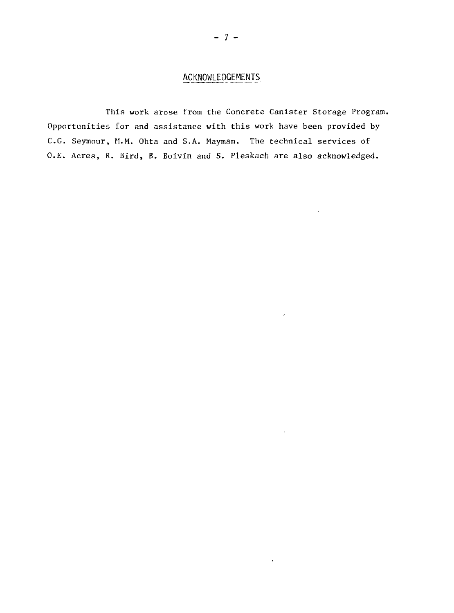## ACKNOWLEDGEMENTS

This work arose from the Concrete Canister Storage Program. Opportunities for and assistance with this work have been provided by C.G. Seymour, M.M. Ohta and S.A. Mayman. The technical services of O.E. Acres, R. Bird, B. Boivin and S. Pleskach are also acknowledged.

 $\bullet$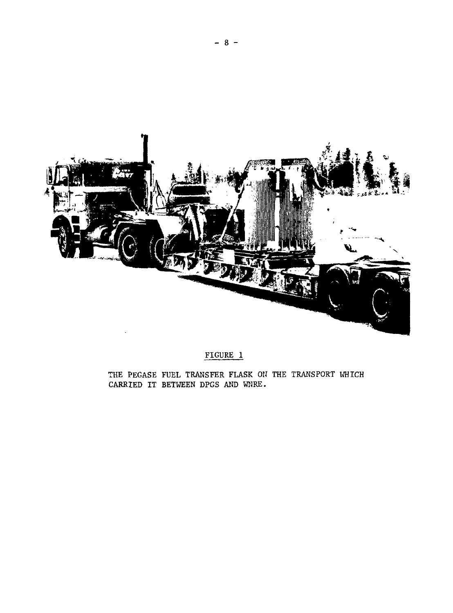

# FIGURE 1

THE PEGASE FUEL TRANSFER FLASK ON THE TRANSPORT WHICH CARRIED IT BETWEEN DPGS AND WIRE.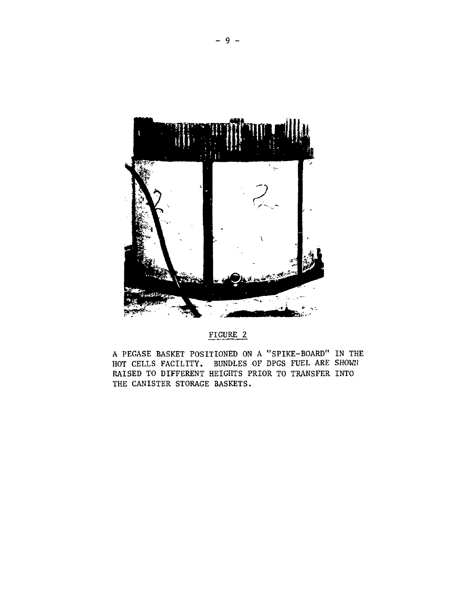

FIGURE 2

A PEGASE BASKET POSITIONED ON A "SPIKE-BOARD" IN THE HOT CELLS FACILITY. BUNDLES OF DPGS FUEL ARE SHOWN RAISED TO DIFFERENT HEIGHTS PRIOR TO TRANSFER INTO THE CANISTER STORAGE BASKETS.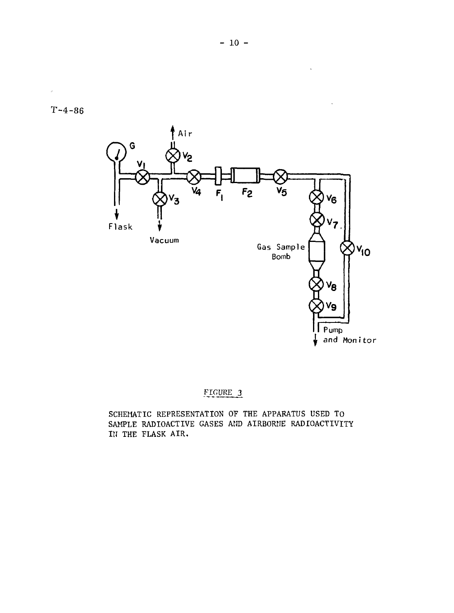J.



## FIGURE 3

SCHEMATIC REPRESENTATION OF THE APPARATUS USED TO SAMPLE RADIOACTIVE GASES AND AIRBORNE RADIOACTIVITY IN THE FLASK AIR.

 $\ddot{\phantom{a}}$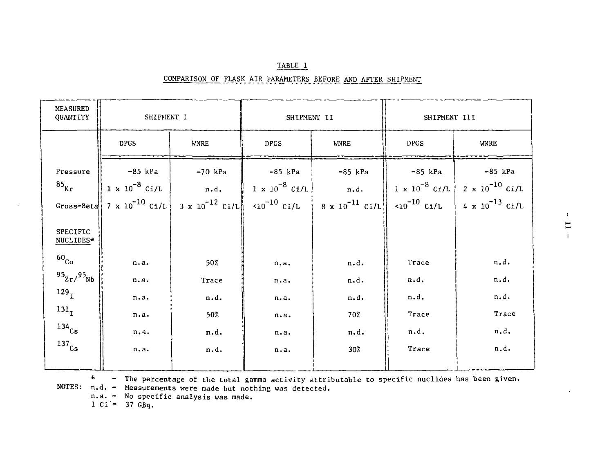| <b>MEASURED</b><br>QUANTITY       | SHIPMENT I  |             | SHIPMENT II |                                                                                                                                                                                                                                                                                                                   | SHIPMENT III |                                                                                  |
|-----------------------------------|-------------|-------------|-------------|-------------------------------------------------------------------------------------------------------------------------------------------------------------------------------------------------------------------------------------------------------------------------------------------------------------------|--------------|----------------------------------------------------------------------------------|
|                                   | <b>DPGS</b> | <b>WNRE</b> | <b>DPGS</b> | <b>WNRE</b>                                                                                                                                                                                                                                                                                                       | <b>DPGS</b>  | <b>WNRE</b>                                                                      |
| Pressure<br>$^{85}$ <sub>Kr</sub> | -85 kPa     | $-70$ kPa   | -85 kPa     | -85 kPa<br>$\left[1 \times 10^{-8} \text{ Ci/L}\right]$ n.d. $\left[1 \times 10^{-8} \text{ Ci/L}\right]$ n.d. $\left[1 \times 10^{-8} \text{ Ci/L}\right] 2 \times 10^{-10} \text{ Ci/L}$<br>Gross-Beta 7 x 10 <sup>-10</sup> Ci/L 3 x 10 <sup>-12</sup> Ci/L <10 <sup>-10</sup> Ci/L 8 x 10 <sup>-11</sup> Ci/L | -85 kPa      | $-85$ kPa<br>$\langle 10^{-10} \text{ Ci/L} \rangle$ 4 x $10^{-13} \text{ Ci/L}$ |
| <b>SPECIFIC</b><br>NUCLIDES*      |             |             |             |                                                                                                                                                                                                                                                                                                                   |              |                                                                                  |
| 60 <sub>Co</sub>                  | n.a.        | 50%         | n.a.        | n.d.                                                                                                                                                                                                                                                                                                              | Trace        | n.d.                                                                             |
| $95_{Zr}/95_{Nb}$                 | n.a.        | Trace       | n.a.        | n.d.                                                                                                                                                                                                                                                                                                              | n.d.         | n.d.                                                                             |
| 129 <sub>T</sub>                  | n.a.        | n.d.        | n.a.        | n.d.                                                                                                                                                                                                                                                                                                              | n.d.         | n.d.                                                                             |
| 131 <sub>T</sub>                  | n.a.        | 50%         | n.a.        | 70%                                                                                                                                                                                                                                                                                                               | Trace        | Trace                                                                            |
| $134$ <sub>Cs</sub>               | n.4.        | n.d.        | n.a.        | n.d.                                                                                                                                                                                                                                                                                                              | n.d.         | n.d.                                                                             |
| $^{137}$ Cs                       | n.a.        | n.d.        | n.a.        | 30%                                                                                                                                                                                                                                                                                                               | Trace        | n.d.                                                                             |

| TABLE 1                                                      |  |  |  |  |  |  |
|--------------------------------------------------------------|--|--|--|--|--|--|
| COMPARISON OF FLASK AIR FARAMETERS BEFORE AND AFTER SHIPMENT |  |  |  |  |  |  |

\* - The percentage of the total gamma activity attributable to specific nuclides has been given.

NOTES: n.d. - Measurements were made but nothing was detected,

n.a. - No specific analysis was made.

 $1 \text{ Ci} = 37 \text{ GBq}.$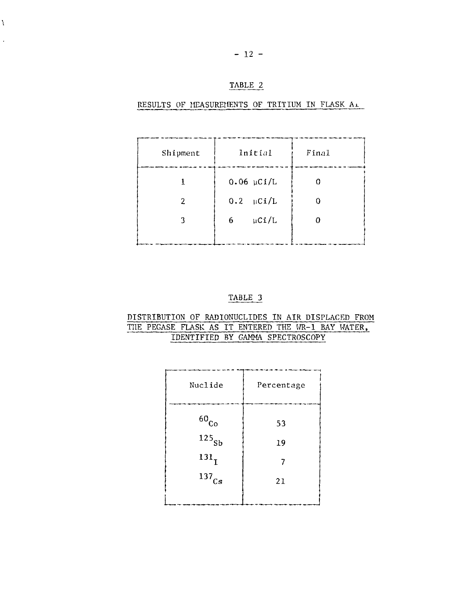#### TABLE 2

#### RESULTS OF MEASUREMENTS OF TRITIUM IN FLASK AL

| Shipment | Initial          | Final |
|----------|------------------|-------|
|          | $0.06$ µCi/L     |       |
| 2        | $0.2$ $\mu$ Ci/L |       |
| 3        | $\mu$ Ci/L<br>6  | 0     |
|          |                  |       |

#### TABLE 3

#### DISTRIBUTION OF RADIONUCLIDES IN AIR DISPLACED FROM TUE PEGASE FLASK AS IT ENTERED THE WR-1 BAY WATER, IDENTIFIED BY GAMMA SPECTROSCOPY

| Percentage |
|------------|
| 53         |
| 19         |
|            |
| 21         |
|            |
|            |

¥  $\overline{\phantom{a}}$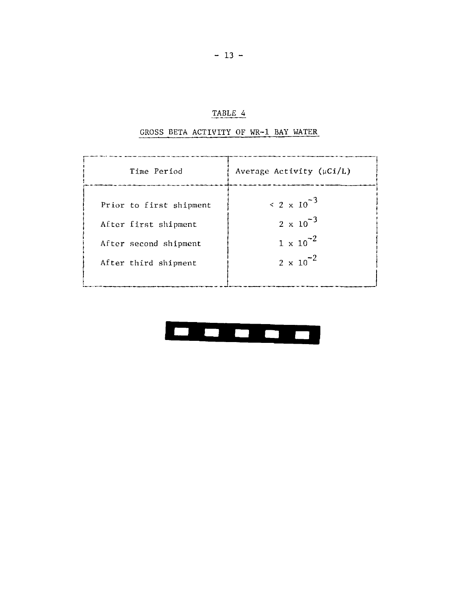# TABLE 4

#### GROSS BETA ACTIVITY OF WR-1 BAY WATER

| Time Period             | Average Activity $(\mu Ci/L)$ |
|-------------------------|-------------------------------|
| Prior to first shipment | $\leq$ 2 x 10 <sup>-3</sup>   |
| After first shipment    | $2 \times 10^{-3}$            |
| After second shipment   | $1 \times 10^{-2}$            |
| After third shipment    | $2 \times 10^{-2}$            |